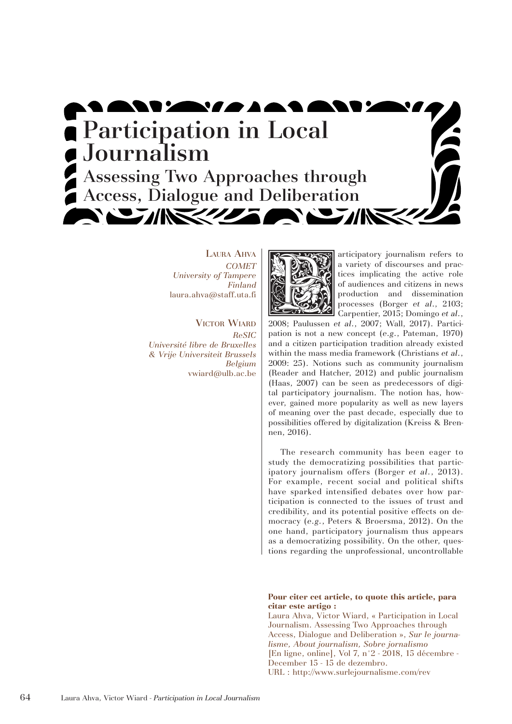

Laura Ahva *COMET University of Tampere Finland* laura.ahva@staff.uta.fi

**VICTOR WIARD** *ReSIC Université libre de Bruxelles & Vrije Universiteit Brussels Belgium* vwiard@ulb.ac.be



articipatory journalism refers to<br>a variety of discourses and prac-<br>tices implicating the active role<br>of audiences and citizens in news<br>production and dissemination<br>processes (Borger *et al.*, 2103;<br>Carpentier, 2015; Domin a variety of discourses and practices implicating the active role of audiences and citizens in news production and dissemination processes (Borger *et al*., 2103; Carpentier, 2015; Domingo *et al.*,

2008; Paulussen *et al.*, 2007; Wall, 2017). Participation is not a new concept (*e.g.*, Pateman, 1970) and a citizen participation tradition already existed within the mass media framework (Christians *et al.*, 2009: 25). Notions such as community journalism (Reader and Hatcher, 2012) and public journalism (Haas, 2007) can be seen as predecessors of digital participatory journalism. The notion has, however, gained more popularity as well as new layers of meaning over the past decade, especially due to possibilities offered by digitalization (Kreiss & Brennen, 2016).

The research community has been eager to study the democratizing possibilities that participatory journalism offers (Borger *et al.*, 2013). For example, recent social and political shifts have sparked intensified debates over how participation is connected to the issues of trust and credibility, and its potential positive effects on democracy (*e.g.*, Peters & Broersma, 2012). On the one hand, participatory journalism thus appears as a democratizing possibility. On the other, questions regarding the unprofessional, uncontrollable

#### **Pour citer cet article, to quote this article, para citar este artigo :**

Laura Ahva, Victor Wiard, « Participation in Local Journalism. Assessing Two Approaches through Access, Dialogue and Deliberation », *Sur le journalisme, About journalism, Sobre jornalismo* [En ligne, online], Vol 7, n°2 - 2018, 15 décembre - December 15 - 15 de dezembro. URL : http://www.surlejournalisme.com/rev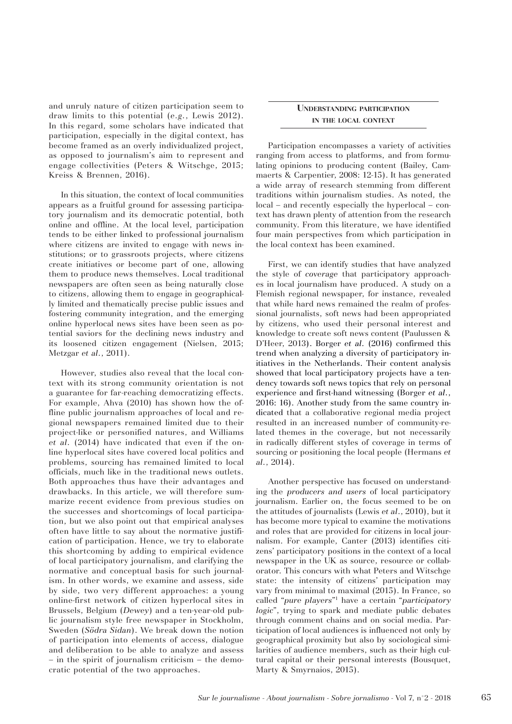and unruly nature of citizen participation seem to draw limits to this potential (*e.g.*, Lewis 2012). In this regard, some scholars have indicated that participation, especially in the digital context, has become framed as an overly individualized project, as opposed to journalism's aim to represent and engage collectivities (Peters & Witschge, 2015; Kreiss & Brennen, 2016).

In this situation, the context of local communities appears as a fruitful ground for assessing participatory journalism and its democratic potential, both online and offline. At the local level, participation tends to be either linked to professional journalism where citizens are invited to engage with news institutions; or to grassroots projects, where citizens create initiatives or become part of one, allowing them to produce news themselves. Local traditional newspapers are often seen as being naturally close to citizens, allowing them to engage in geographically limited and thematically precise public issues and fostering community integration, and the emerging online hyperlocal news sites have been seen as potential saviors for the declining news industry and its loosened citizen engagement (Nielsen, 2015; Metzgar *et al.*, 2011).

However, studies also reveal that the local context with its strong community orientation is not a guarantee for far-reaching democratizing effects. For example, Ahva (2010) has shown how the offline public journalism approaches of local and regional newspapers remained limited due to their project-like or personified natures, and Williams *et al.* (2014) have indicated that even if the online hyperlocal sites have covered local politics and problems, sourcing has remained limited to local officials, much like in the traditional news outlets. Both approaches thus have their advantages and drawbacks. In this article, we will therefore summarize recent evidence from previous studies on the successes and shortcomings of local participation, but we also point out that empirical analyses often have little to say about the normative justification of participation. Hence, we try to elaborate this shortcoming by adding to empirical evidence of local participatory journalism, and clarifying the normative and conceptual basis for such journalism. In other words, we examine and assess, side by side, two very different approaches: a young online-first network of citizen hyperlocal sites in Brussels, Belgium (*Dewey*) and a ten-year-old public journalism style free newspaper in Stockholm, Sweden (*Södra Sidan*). We break down the notion of participation into elements of access, dialogue and deliberation to be able to analyze and assess – in the spirit of journalism criticism – the democratic potential of the two approaches.

# **Understanding participation in the local context**

Participation encompasses a variety of activities ranging from access to platforms, and from formulating opinions to producing content (Bailey, Cammaerts & Carpentier, 2008: 12-15). It has generated a wide array of research stemming from different traditions within journalism studies. As noted, the local – and recently especially the hyperlocal – context has drawn plenty of attention from the research community. From this literature, we have identified four main perspectives from which participation in the local context has been examined.

First, we can identify studies that have analyzed the style of *coverage* that participatory approaches in local journalism have produced. A study on a Flemish regional newspaper, for instance, revealed that while hard news remained the realm of professional journalists, soft news had been appropriated by citizens, who used their personal interest and knowledge to create soft news content (Paulussen & D'Heer, 2013). Borger *et al.* (2016) confirmed this trend when analyzing a diversity of participatory initiatives in the Netherlands. Their content analysis showed that local participatory projects have a tendency towards soft news topics that rely on personal experience and first-hand witnessing (Borger *et al.*, 2016: 16). Another study from the same country indicated that a collaborative regional media project resulted in an increased number of community-related themes in the coverage, but not necessarily in radically different styles of coverage in terms of sourcing or positioning the local people (Hermans *et al.*, 2014).

Another perspective has focused on understanding the *producers and users* of local participatory journalism. Earlier on, the focus seemed to be on the attitudes of journalists (Lewis *et al*., 2010), but it has become more typical to examine the motivations and roles that are provided for citizens in local journalism. For example, Canter (2013) identifies citizens' participatory positions in the context of a local newspaper in the UK as source, resource or collaborator. This concurs with what Peters and Witschge state: the intensity of citizens' participation may vary from minimal to maximal (2015). In France, so called "*pure players*"1 have a certain "*participatory logic*", trying to spark and mediate public debates through comment chains and on social media. Participation of local audiences is influenced not only by geographical proximity but also by sociological similarities of audience members, such as their high cultural capital or their personal interests (Bousquet, Marty & Smyrnaios, 2015).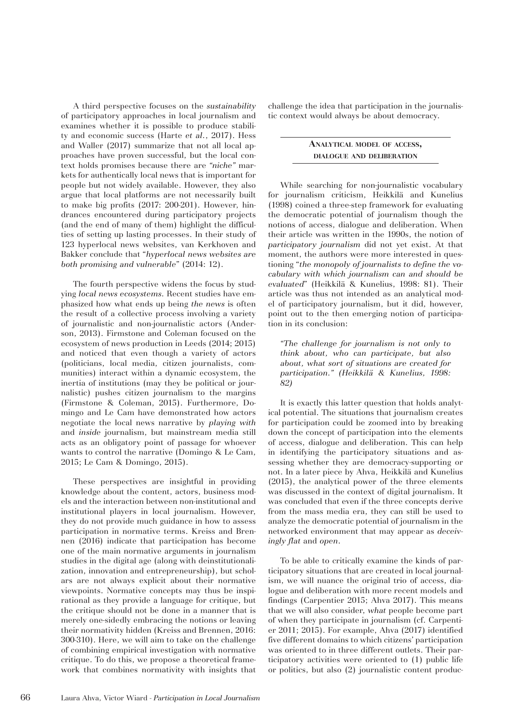A third perspective focuses on the *sustainability* of participatory approaches in local journalism and examines whether it is possible to produce stability and economic success (Harte *et al.*, 2017). Hess and Waller (2017) summarize that not all local approaches have proven successful, but the local context holds promises because there are *"niche"* markets for authentically local news that is important for people but not widely available. However, they also argue that local platforms are not necessarily built to make big profits (2017: 200-201). However, hindrances encountered during participatory projects (and the end of many of them) highlight the difficulties of setting up lasting processes. In their study of 123 hyperlocal news websites, van Kerkhoven and Bakker conclude that "*hyperlocal news websites are both promising and vulnerable*" (2014: 12).

The fourth perspective widens the focus by studying *local news ecosystems.* Recent studies have emphasized how what ends up being *the news* is often the result of a collective process involving a variety of journalistic and non-journalistic actors (Anderson, 2013). Firmstone and Coleman focused on the ecosystem of news production in Leeds (2014; 2015) and noticed that even though a variety of actors (politicians, local media, citizen journalists, communities) interact within a dynamic ecosystem, the inertia of institutions (may they be political or journalistic) pushes citizen journalism to the margins (Firmstone & Coleman, 2015). Furthermore, Domingo and Le Cam have demonstrated how actors negotiate the local news narrative by *playing with*  and *inside* journalism, but mainstream media still acts as an obligatory point of passage for whoever wants to control the narrative (Domingo & Le Cam, 2015; Le Cam & Domingo, 2015).

These perspectives are insightful in providing knowledge about the content, actors, business models and the interaction between non-institutional and institutional players in local journalism. However, they do not provide much guidance in how to assess participation in normative terms. Kreiss and Brennen (2016) indicate that participation has become one of the main normative arguments in journalism studies in the digital age (along with deinstitutionalization, innovation and entrepreneurship), but scholars are not always explicit about their normative viewpoints. Normative concepts may thus be inspirational as they provide a language for critique, but the critique should not be done in a manner that is merely one-sidedly embracing the notions or leaving their normativity hidden (Kreiss and Brennen, 2016: 300-310). Here, we will aim to take on the challenge of combining empirical investigation with normative critique. To do this, we propose a theoretical framework that combines normativity with insights that challenge the idea that participation in the journalistic context would always be about democracy.

# **Analytical model of access, dialogue and deliberation**

While searching for non-journalistic vocabulary for journalism criticism, Heikkilä and Kunelius (1998) coined a three-step framework for evaluating the democratic potential of journalism though the notions of access, dialogue and deliberation. When their article was written in the 1990s, the notion of *participatory journalism* did not yet exist. At that moment, the authors were more interested in questioning "*the monopoly of journalists to define the vocabulary with which journalism can and should be evaluated*" (Heikkilä & Kunelius, 1998: 81). Their article was thus not intended as an analytical model of participatory journalism, but it did, however, point out to the then emerging notion of participation in its conclusion:

*"The challenge for journalism is not only to think about, who can participate, but also about, what sort of situations are created for participation." (Heikkilä & Kunelius, 1998: 82)* 

It is exactly this latter question that holds analytical potential. The situations that journalism creates for participation could be zoomed into by breaking down the concept of participation into the elements of access, dialogue and deliberation. This can help in identifying the participatory situations and assessing whether they are democracy-supporting or not. In a later piece by Ahva, Heikkilä and Kunelius (2015), the analytical power of the three elements was discussed in the context of digital journalism. It was concluded that even if the three concepts derive from the mass media era, they can still be used to analyze the democratic potential of journalism in the networked environment that may appear as *deceivingly flat* and *open*.

To be able to critically examine the kinds of participatory situations that are created in local journalism, we will nuance the original trio of access, dialogue and deliberation with more recent models and findings (Carpentier 2015; Ahva 2017). This means that we will also consider, *what* people become part of when they participate in journalism (cf. Carpentier 2011; 2015). For example, Ahva (2017) identified five different domains to which citizens' participation was oriented to in three different outlets. Their participatory activities were oriented to (1) public life or politics, but also (2) journalistic content produc-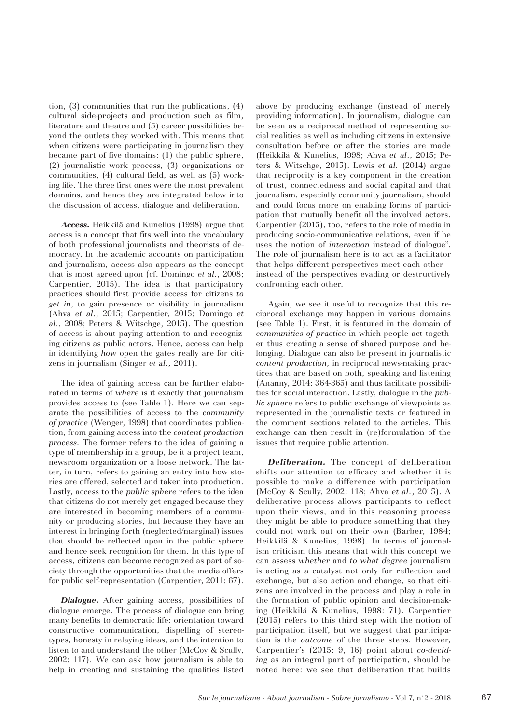tion, (3) communities that run the publications, (4) cultural side-projects and production such as film, literature and theatre and (5) career possibilities beyond the outlets they worked with. This means that when citizens were participating in journalism they became part of five domains: (1) the public sphere, (2) journalistic work process, (3) organizations or communities, (4) cultural field, as well as (5) working life. The three first ones were the most prevalent domains, and hence they are integrated below into the discussion of access, dialogue and deliberation.

*Access.* Heikkilä and Kunelius (1998) argue that access is a concept that fits well into the vocabulary of both professional journalists and theorists of democracy. In the academic accounts on participation and journalism, access also appears as the concept that is most agreed upon (cf. Domingo *et al.*, 2008; Carpentier, 2015). The idea is that participatory practices should first provide access for citizens *to get in*, to gain presence or visibility in journalism (Ahva *et al*., 2015; Carpentier, 2015; Domingo *et al*., 2008; Peters & Witschge, 2015). The question of access is about paying attention to and recognizing citizens as public actors. Hence, access can help in identifying *how* open the gates really are for citizens in journalism (Singer *et al.,* 2011).

The idea of gaining access can be further elaborated in terms of *where* is it exactly that journalism provides access to (see Table 1). Here we can separate the possibilities of access to the *community of practice* (Wenger, 1998) that coordinates publication, from gaining access into the *content production process.* The former refers to the idea of gaining a type of membership in a group, be it a project team, newsroom organization or a loose network. The latter, in turn, refers to gaining an entry into how stories are offered, selected and taken into production. Lastly, access to the *public sphere* refers to the idea that citizens do not merely get engaged because they are interested in becoming members of a community or producing stories, but because they have an interest in bringing forth (neglected/marginal) issues that should be reflected upon in the public sphere and hence seek recognition for them. In this type of access, citizens can become recognized as part of society through the opportunities that the media offers for public self-representation (Carpentier, 2011: 67).

*Dialogue***.** After gaining access, possibilities of dialogue emerge. The process of dialogue can bring many benefits to democratic life: orientation toward constructive communication, dispelling of stereotypes, honesty in relaying ideas, and the intention to listen to and understand the other (McCoy & Scully, 2002: 117). We can ask how journalism is able to help in creating and sustaining the qualities listed

above by producing exchange (instead of merely providing information). In journalism, dialogue can be seen as a reciprocal method of representing social realities as well as including citizens in extensive consultation before or after the stories are made (Heikkilä & Kunelius, 1998; Ahva *et al*., 2015; Peters & Witschge, 2015). Lewis *et al.* (2014) argue that reciprocity is a key component in the creation of trust, connectedness and social capital and that journalism, especially community journalism, should and could focus more on enabling forms of participation that mutually benefit all the involved actors. Carpentier (2015), too, refers to the role of media in producing socio-communicative relations, even if he uses the notion of *interaction* instead of dialogue<sup>2</sup>. The role of journalism here is to act as a facilitator that helps different perspectives meet each other – instead of the perspectives evading or destructively confronting each other.

Again, we see it useful to recognize that this reciprocal exchange may happen in various domains (see Table 1). First, it is featured in the domain of *communities of practice* in which people act together thus creating a sense of shared purpose and belonging. Dialogue can also be present in journalistic *content production,* in reciprocal news-making practices that are based on both, speaking and listening (Ananny, 2014: 364-365) and thus facilitate possibilities for social interaction. Lastly, dialogue in the *public sphere* refers to public exchange of viewpoints as represented in the journalistic texts or featured in the comment sections related to the articles. This exchange can then result in (re)formulation of the issues that require public attention.

*Deliberation.* The concept of deliberation shifts our attention to efficacy and whether it is possible to make a difference with participation (McCoy & Scully, 2002: 118; Ahva *et al.*, 2015). A deliberative process allows participants to reflect upon their views, and in this reasoning process they might be able to produce something that they could not work out on their own (Barber, 1984; Heikkilä & Kunelius, 1998). In terms of journalism criticism this means that with this concept we can assess *whether* and *to what degree* journalism is acting as a catalyst not only for reflection and exchange, but also action and change, so that citizens are involved in the process and play a role in the formation of public opinion and decision-making (Heikkilä & Kunelius, 1998: 71). Carpentier (2015) refers to this third step with the notion of participation itself, but we suggest that participation is the *outcome* of the three steps. However, Carpentier's (2015: 9, 16) point about *co-deciding* as an integral part of participation, should be noted here: we see that deliberation that builds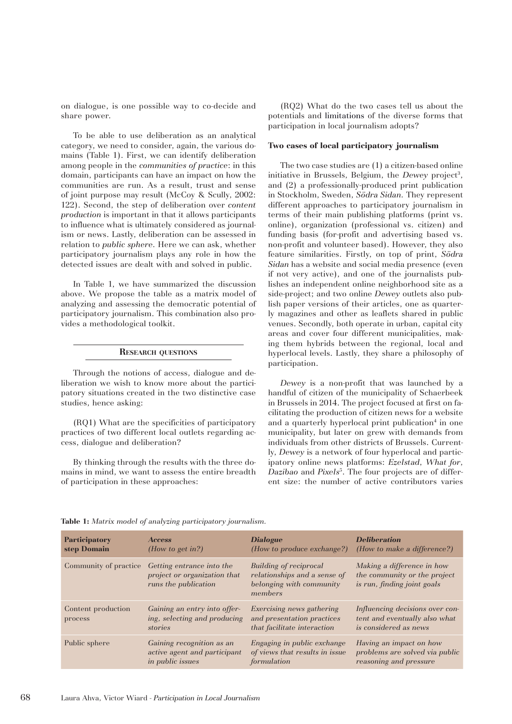on dialogue, is one possible way to co-decide and share power.

To be able to use deliberation as an analytical category, we need to consider, again, the various domains (Table 1). First, we can identify deliberation among people in the *communities of practice*: in this domain, participants can have an impact on how the communities are run. As a result, trust and sense of joint purpose may result (McCoy & Scully, 2002: 122). Second, the step of deliberation over *content production* is important in that it allows participants to influence what is ultimately considered as journalism or news. Lastly, deliberation can be assessed in relation to *public sphere.* Here we can ask, whether participatory journalism plays any role in how the detected issues are dealt with and solved in public.

In Table 1, we have summarized the discussion above. We propose the table as a matrix model of analyzing and assessing the democratic potential of participatory journalism. This combination also provides a methodological toolkit.

#### **Research questions**

Through the notions of access, dialogue and deliberation we wish to know more about the participatory situations created in the two distinctive case studies, hence asking:

(RQ1) What are the specificities of participatory practices of two different local outlets regarding access, dialogue and deliberation?

By thinking through the results with the three domains in mind, we want to assess the entire breadth of participation in these approaches:

(RQ2) What do the two cases tell us about the potentials and limitations of the diverse forms that participation in local journalism adopts?

#### **Two cases of local participatory journalism**

The two case studies are (1) a citizen-based online initiative in Brussels, Belgium, the *Dewey* project<sup>3</sup>, and (2) a professionally-produced print publication in Stockholm, Sweden, *Södra Sidan.* They represent different approaches to participatory journalism in terms of their main publishing platforms (print vs. online), organization (professional vs. citizen) and funding basis (for-profit and advertising based vs. non-profit and volunteer based). However, they also feature similarities. Firstly, on top of print, *Södra Sidan* has a website and social media presence (even if not very active), and one of the journalists publishes an independent online neighborhood site as a side-project; and two online *Dewey* outlets also publish paper versions of their articles, one as quarterly magazines and other as leaflets shared in public venues. Secondly, both operate in urban, capital city areas and cover four different municipalities, making them hybrids between the regional, local and hyperlocal levels. Lastly, they share a philosophy of participation.

*Dewey* is a non-profit that was launched by a handful of citizen of the municipality of Schaerbeek in Brussels in 2014. The project focused at first on facilitating the production of citizen news for a website and a quarterly hyperlocal print publication<sup>4</sup> in one municipality, but later on grew with demands from individuals from other districts of Brussels. Currently, *Dewey* is a network of four hyperlocal and participatory online news platforms: *Ezelstad*, *What for*, *Dazibao* and *Pixels*<sup>5</sup> . The four projects are of different size: the number of active contributors varies

| <b>Participatory</b>          | <b>Access</b>                                                                     | <b>Dialogue</b>                                                                               | <b>Deliberation</b>                                                                       |
|-------------------------------|-----------------------------------------------------------------------------------|-----------------------------------------------------------------------------------------------|-------------------------------------------------------------------------------------------|
| step Domain                   | (How to get in?)                                                                  | (How to produce exchange?)                                                                    | (How to make a difference?)                                                               |
| Community of practice         | Getting entrance into the<br>project or organization that<br>runs the publication | Building of reciprocal<br>relationships and a sense of<br>belonging with community<br>members | Making a difference in how<br>the community or the project<br>is run, finding joint goals |
| Content production<br>process | Gaining an entry into offer-<br>ing, selecting and producing<br>stories           | Exercising news gathering<br>and presentation practices<br>that facilitate interaction        | Influencing decisions over con-<br>tent and eventually also what<br>is considered as news |
| Public sphere                 | Gaining recognition as an                                                         | Engaging in public exchange                                                                   | Having an impact on how                                                                   |
|                               | active agent and participant                                                      | of views that results in issue                                                                | problems are solved via public                                                            |
|                               | in public issues                                                                  | formulation                                                                                   | reasoning and pressure                                                                    |

#### **Table 1:** *Matrix model of analyzing participatory journalism.*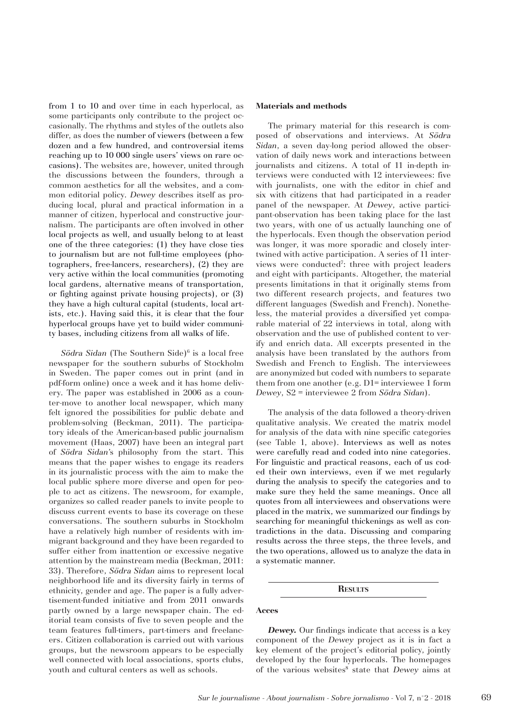from 1 to 10 and over time in each hyperlocal, as some participants only contribute to the project occasionally. The rhythms and styles of the outlets also differ, as does the number of viewers (between a few dozen and a few hundred, and controversial items reaching up to 10 000 single users' views on rare occasions). The websites are, however, united through the discussions between the founders, through a common aesthetics for all the websites, and a common editorial policy. *Dewey* describes itself as producing local, plural and practical information in a manner of citizen, hyperlocal and constructive journalism. The participants are often involved in other local projects as well, and usually belong to at least one of the three categories: (1) they have close ties to journalism but are not full-time employees (photographers, free-lancers, researchers), (2) they are very active within the local communities (promoting local gardens, alternative means of transportation, or fighting against private housing projects), or (3) they have a high cultural capital (students, local artists, etc.). Having said this, it is clear that the four hyperlocal groups have yet to build wider community bases, including citizens from all walks of life.

Södra Sidan (The Southern Side)<sup>6</sup> is a local free newspaper for the southern suburbs of Stockholm in Sweden. The paper comes out in print (and in pdf-form online) once a week and it has home delivery. The paper was established in 2006 as a counter-move to another local newspaper, which many felt ignored the possibilities for public debate and problem-solving (Beckman, 2011). The participatory ideals of the American-based public journalism movement (Haas, 2007) have been an integral part of *Södra Sidan'*s philosophy from the start. This means that the paper wishes to engage its readers in its journalistic process with the aim to make the local public sphere more diverse and open for people to act as citizens. The newsroom, for example, organizes so called reader panels to invite people to discuss current events to base its coverage on these conversations. The southern suburbs in Stockholm have a relatively high number of residents with immigrant background and they have been regarded to suffer either from inattention or excessive negative attention by the mainstream media (Beckman, 2011: 33). Therefore, *Södra Sidan* aims to represent local neighborhood life and its diversity fairly in terms of ethnicity, gender and age. The paper is a fully advertisement-funded initiative and from 2011 onwards partly owned by a large newspaper chain. The editorial team consists of five to seven people and the team features full-timers, part-timers and freelancers. Citizen collaboration is carried out with various groups, but the newsroom appears to be especially well connected with local associations, sports clubs, youth and cultural centers as well as schools.

#### **Materials and methods**

The primary material for this research is composed of observations and interviews. At *Södra Sidan*, a seven day-long period allowed the observation of daily news work and interactions between journalists and citizens. A total of 11 in-depth interviews were conducted with 12 interviewees: five with journalists, one with the editor in chief and six with citizens that had participated in a reader panel of the newspaper. At *Dewey*, active participant-observation has been taking place for the last two years, with one of us actually launching one of the hyperlocals. Even though the observation period was longer, it was more sporadic and closely intertwined with active participation. A series of 11 interviews were conducted7 : three with project leaders and eight with participants. Altogether, the material presents limitations in that it originally stems from two different research projects, and features two different languages (Swedish and French). Nonetheless, the material provides a diversified yet comparable material of 22 interviews in total, along with observation and the use of published content to verify and enrich data. All excerpts presented in the analysis have been translated by the authors from Swedish and French to English. The interviewees are anonymized but coded with numbers to separate them from one another (e.g. D1= interviewee 1 form *Dewey*, S2 = interviewee 2 from *Södra Sidan*).

The analysis of the data followed a theory-driven qualitative analysis. We created the matrix model for analysis of the data with nine specific categories (see Table 1, above). Interviews as well as notes were carefully read and coded into nine categories. For linguistic and practical reasons, each of us coded their own interviews, even if we met regularly during the analysis to specify the categories and to make sure they held the same meanings. Once all quotes from all interviewees and observations were placed in the matrix, we summarized our findings by searching for meaningful thickenings as well as contradictions in the data. Discussing and comparing results across the three steps, the three levels, and the two operations, allowed us to analyze the data in a systematic manner.

#### **Results**

#### **Acces**

*Dewey.* Our findings indicate that access is a key component of the *Dewey* project as it is in fact a key element of the project's editorial policy, jointly developed by the four hyperlocals. The homepages of the various websites<sup>8</sup> state that *Dewey* aims at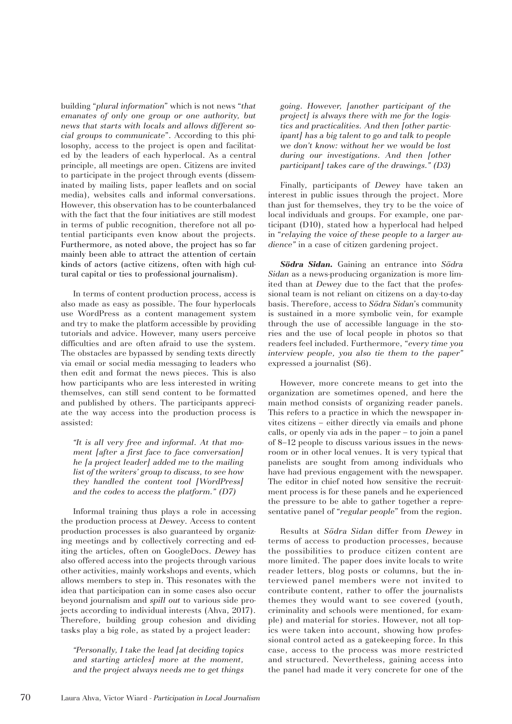building "*plural information*" which is not news "*that emanates of only one group or one authority, but news that starts with locals and allows different social groups to communicate*". According to this philosophy, access to the project is open and facilitated by the leaders of each hyperlocal. As a central principle, all meetings are open. Citizens are invited to participate in the project through events (disseminated by mailing lists, paper leaflets and on social media), websites calls and informal conversations. However, this observation has to be counterbalanced with the fact that the four initiatives are still modest in terms of public recognition, therefore not all potential participants even know about the projects. Furthermore, as noted above, the project has so far mainly been able to attract the attention of certain kinds of actors (active citizens, often with high cultural capital or ties to professional journalism).

In terms of content production process, access is also made as easy as possible. The four hyperlocals use WordPress as a content management system and try to make the platform accessible by providing tutorials and advice. However, many users perceive difficulties and are often afraid to use the system. The obstacles are bypassed by sending texts directly via email or social media messaging to leaders who then edit and format the news pieces. This is also how participants who are less interested in writing themselves, can still send content to be formatted and published by others. The participants appreciate the way access into the production process is assisted:

*"It is all very free and informal. At that moment [after a first face to face conversation] he [a project leader] added me to the mailing list of the writers' group to discuss, to see how they handled the content tool [WordPress] and the codes to access the platform." (D7)* 

Informal training thus plays a role in accessing the production process at *Dewey*. Access to content production processes is also guaranteed by organizing meetings and by collectively correcting and editing the articles, often on GoogleDocs. *Dewey* has also offered access into the projects through various other activities, mainly workshops and events, which allows members to step in. This resonates with the idea that participation can in some cases also occur beyond journalism and *spill out* to various side projects according to individual interests (Ahva, 2017). Therefore, building group cohesion and dividing tasks play a big role, as stated by a project leader:

*"Personally, I take the lead [at deciding topics and starting articles] more at the moment, and the project always needs me to get things*  *going. However, [another participant of the project] is always there with me for the logistics and practicalities. And then [other participant] has a big talent to go and talk to people we don't know: without her we would be lost during our investigations. And then [other participant] takes care of the drawings." (D3)* 

Finally, participants of *Dewey* have taken an interest in public issues through the project. More than just for themselves, they try to be the voice of local individuals and groups. For example, one participant (D10), stated how a hyperlocal had helped in "*relaying the voice of these people to a larger audience"* in a case of citizen gardening project.

*Södra Sidan.* Gaining an entrance into *Södra Sidan* as a news-producing organization is more limited than at *Dewey* due to the fact that the professional team is not reliant on citizens on a day-to-day basis. Therefore, access to *Södra Sidan*'s community is sustained in a more symbolic vein, for example through the use of accessible language in the stories and the use of local people in photos so that readers feel included. Furthermore, "*every time you interview people, you also tie them to the paper"* expressed a journalist (S6).

However, more concrete means to get into the organization are sometimes opened, and here the main method consists of organizing reader panels. This refers to a practice in which the newspaper invites citizens – either directly via emails and phone calls, or openly via ads in the paper – to join a panel of 8–12 people to discuss various issues in the newsroom or in other local venues. It is very typical that panelists are sought from among individuals who have had previous engagement with the newspaper. The editor in chief noted how sensitive the recruitment process is for these panels and he experienced the pressure to be able to gather together a representative panel of "*regular people*" from the region.

Results at *Södra Sidan* differ from *Dewey* in terms of access to production processes, because the possibilities to produce citizen content are more limited. The paper does invite locals to write reader letters, blog posts or columns, but the interviewed panel members were not invited to contribute content, rather to offer the journalists themes they would want to see covered (youth, criminality and schools were mentioned, for example) and material for stories. However, not all topics were taken into account, showing how professional control acted as a gatekeeping force. In this case, access to the process was more restricted and structured. Nevertheless, gaining access into the panel had made it very concrete for one of the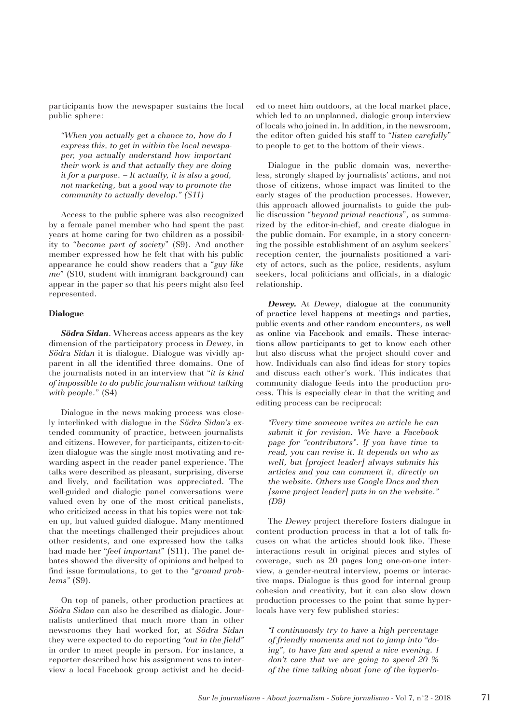participants how the newspaper sustains the local public sphere:

*"When you actually get a chance to, how do I express this, to get in within the local newspaper, you actually understand how important their work is and that actually they are doing it for a purpose.* – *It actually, it is also a good, not marketing, but a good way to promote the community to actually develop." (S11)*

Access to the public sphere was also recognized by a female panel member who had spent the past years at home caring for two children as a possibility to "*become part of society*" (S9). And another member expressed how he felt that with his public appearance he could show readers that a "*guy like me*" (S10, student with immigrant background) can appear in the paper so that his peers might also feel represented.

#### **Dialogue**

*Södra Sidan*. Whereas access appears as the key dimension of the participatory process in *Dewey*, in *Södra Sidan* it is dialogue. Dialogue was vividly apparent in all the identified three domains. One of the journalists noted in an interview that "*it is kind of impossible to do public journalism without talking with people.*" (S4)

Dialogue in the news making process was closely interlinked with dialogue in the *Södra Sidan's* extended community of practice, between journalists and citizens. However, for participants, citizen-to-citizen dialogue was the single most motivating and rewarding aspect in the reader panel experience. The talks were described as pleasant, surprising, diverse and lively, and facilitation was appreciated. The well-guided and dialogic panel conversations were valued even by one of the most critical panelists, who criticized access in that his topics were not taken up, but valued guided dialogue. Many mentioned that the meetings challenged their prejudices about other residents, and one expressed how the talks had made her "*feel important*" (S11). The panel debates showed the diversity of opinions and helped to find issue formulations, to get to the "*ground problems"* (S9).

On top of panels, other production practices at *Södra Sidan* can also be described as dialogic. Journalists underlined that much more than in other newsrooms they had worked for, at *Södra Sidan* they were expected to do reporting *"out in the field"* in order to meet people in person. For instance, a reporter described how his assignment was to interview a local Facebook group activist and he decided to meet him outdoors, at the local market place, which led to an unplanned, dialogic group interview of locals who joined in. In addition, in the newsroom, the editor often guided his staff to "*listen carefully*" to people to get to the bottom of their views.

Dialogue in the public domain was, nevertheless, strongly shaped by journalists' actions, and not those of citizens, whose impact was limited to the early stages of the production processes. However, this approach allowed journalists to guide the public discussion "*beyond primal reactions*", as summarized by the editor-in-chief, and create dialogue in the public domain. For example, in a story concerning the possible establishment of an asylum seekers' reception center, the journalists positioned a variety of actors, such as the police, residents, asylum seekers, local politicians and officials, in a dialogic relationship.

*Dewey.* At *Dewey*, dialogue at the community of practice level happens at meetings and parties, public events and other random encounters, as well as online via Facebook and emails. These interactions allow participants to get to know each other but also discuss what the project should cover and how. Individuals can also find ideas for story topics and discuss each other's work. This indicates that community dialogue feeds into the production process. This is especially clear in that the writing and editing process can be reciprocal:

*"Every time someone writes an article he can submit it for revision. We have a Facebook page for "contributors". If you have time to read, you can revise it. It depends on who as well, but [project leader] always submits his articles and you can comment it, directly on the website. Others use Google Docs and then [same project leader] puts in on the website." (D9)*

The *Dewey* project therefore fosters dialogue in content production process in that a lot of talk focuses on what the articles should look like. These interactions result in original pieces and styles of coverage, such as 20 pages long one-on-one interview, a gender-neutral interview, poems or interactive maps. Dialogue is thus good for internal group cohesion and creativity, but it can also slow down production processes to the point that some hyperlocals have very few published stories:

*"I continuously try to have a high percentage of friendly moments and not to jump into "doing", to have fun and spend a nice evening. I don't care that we are going to spend 20 % of the time talking about [one of the hyperlo-*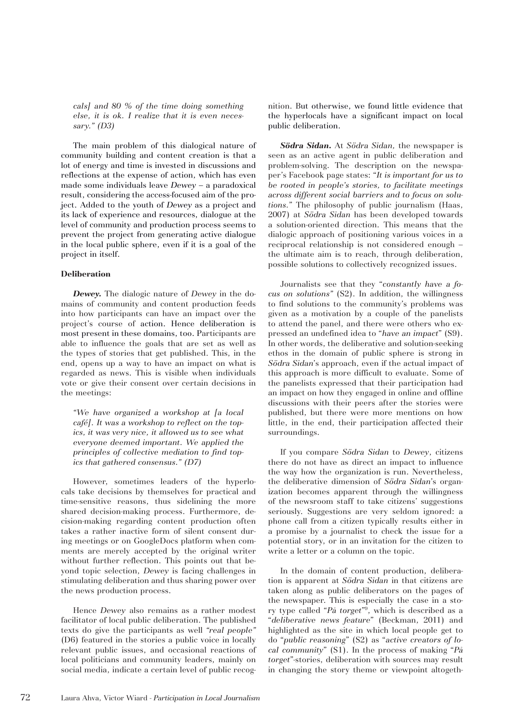*cals] and 80 % of the time doing something else, it is ok. I realize that it is even necessary." (D3)*

The main problem of this dialogical nature of community building and content creation is that a lot of energy and time is invested in discussions and reflections at the expense of action, which has even made some individuals leave *Dewey* – a paradoxical result, considering the access-focused aim of the project. Added to the youth of *Dewey* as a project and its lack of experience and resources, dialogue at the level of community and production process seems to prevent the project from generating active dialogue in the local public sphere, even if it is a goal of the project in itself.

#### **Deliberation**

*Dewey.* The dialogic nature of *Dewey* in the domains of community and content production feeds into how participants can have an impact over the project's course of action. Hence deliberation is most present in these domains, too. Participants are able to influence the goals that are set as well as the types of stories that get published. This, in the end, opens up a way to have an impact on what is regarded as news. This is visible when individuals vote or give their consent over certain decisions in the meetings:

*"We have organized a workshop at [a local café]. It was a workshop to reflect on the topics, it was very nice, it allowed us to see what everyone deemed important. We applied the principles of collective mediation to find topics that gathered consensus." (D7)* 

However, sometimes leaders of the hyperlocals take decisions by themselves for practical and time-sensitive reasons, thus sidelining the more shared decision-making process. Furthermore, decision-making regarding content production often takes a rather inactive form of silent consent during meetings or on GoogleDocs platform when comments are merely accepted by the original writer without further reflection. This points out that beyond topic selection, *Dewey* is facing challenges in stimulating deliberation and thus sharing power over the news production process.

Hence *Dewey* also remains as a rather modest facilitator of local public deliberation. The published texts do give the participants as well *"real people"* (D6) featured in the stories a public voice in locally relevant public issues, and occasional reactions of local politicians and community leaders, mainly on social media, indicate a certain level of public recognition. But otherwise, we found little evidence that the hyperlocals have a significant impact on local public deliberation.

*Södra Sidan***.** At *Södra Sidan,* the newspaper is seen as an active agent in public deliberation and problem-solving. The description on the newspaper's Facebook page states: "*It is important for us to be rooted in people's stories, to facilitate meetings across different social barriers and to focus on solutions.*" The philosophy of public journalism (Haas, 2007) at *Södra Sidan* has been developed towards a solution-oriented direction. This means that the dialogic approach of positioning various voices in a reciprocal relationship is not considered enough – the ultimate aim is to reach, through deliberation, possible solutions to collectively recognized issues.

Journalists see that they "*constantly have a focus on solutions"* (S2). In addition, the willingness to find solutions to the community's problems was given as a motivation by a couple of the panelists to attend the panel, and there were others who expressed an undefined idea to "*have an impact*" (S9). In other words, the deliberative and solution-seeking ethos in the domain of public sphere is strong in *Södra Sidan*'s approach, even if the actual impact of this approach is more difficult to evaluate. Some of the panelists expressed that their participation had an impact on how they engaged in online and offline discussions with their peers after the stories were published, but there were more mentions on how little, in the end, their participation affected their surroundings.

If you compare *Södra Sidan* to *Dewey*, citizens there do not have as direct an impact to influence the way how the organization is run. Nevertheless, the deliberative dimension of *Södra Sidan*'s organization becomes apparent through the willingness of the newsroom staff to take citizens' suggestions seriously. Suggestions are very seldom ignored: a phone call from a citizen typically results either in a promise by a journalist to check the issue for a potential story, or in an invitation for the citizen to write a letter or a column on the topic.

In the domain of content production, deliberation is apparent at *Södra Sidan* in that citizens are taken along as public deliberators on the pages of the newspaper. This is especially the case in a story type called "*På torget*"9 , which is described as a "*deliberative news feature*" (Beckman, 2011) and highlighted as the site in which local people get to do "*public reasoning*" (S2) as "*active creators of local community*" (S1). In the process of making "*På torget*"-stories, deliberation with sources may result in changing the story theme or viewpoint altogeth-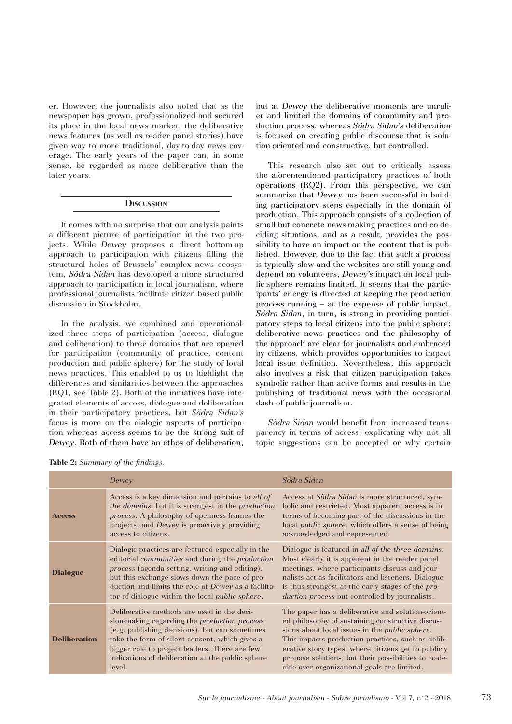er. However, the journalists also noted that as the newspaper has grown, professionalized and secured its place in the local news market, the deliberative news features (as well as reader panel stories) have given way to more traditional, day-to-day news coverage. The early years of the paper can, in some sense, be regarded as more deliberative than the later years.

### **Discussion**

It comes with no surprise that our analysis paints a different picture of participation in the two projects. While *Dewey* proposes a direct bottom-up approach to participation with citizens filling the structural holes of Brussels' complex news ecosystem, *Södra Sidan* has developed a more structured approach to participation in local journalism, where professional journalists facilitate citizen based public discussion in Stockholm.

In the analysis, we combined and operationalized three steps of participation (access, dialogue and deliberation) to three domains that are opened for participation (community of practice, content production and public sphere) for the study of local news practices. This enabled to us to highlight the differences and similarities between the approaches (RQ1, see Table 2). Both of the initiatives have integrated elements of access, dialogue and deliberation in their participatory practices, but *Södra Sidan's*  focus is more on the dialogic aspects of participation whereas access seems to be the strong suit of *Dewey*. Both of them have an ethos of deliberation,

but at *Dewey* the deliberative moments are unrulier and limited the domains of community and production process, whereas *Södra Sidan's* deliberation is focused on creating public discourse that is solution-oriented and constructive, but controlled.

This research also set out to critically assess the aforementioned participatory practices of both operations (RQ2). From this perspective, we can summarize that *Dewey* has been successful in building participatory steps especially in the domain of production. This approach consists of a collection of small but concrete news-making practices and co-deciding situations, and as a result, provides the possibility to have an impact on the content that is published. However, due to the fact that such a process is typically slow and the websites are still young and depend on volunteers, *Dewey's* impact on local public sphere remains limited. It seems that the participants' energy is directed at keeping the production process running – at the expense of public impact. *Södra Sidan*, in turn, is strong in providing participatory steps to local citizens into the public sphere: deliberative news practices and the philosophy of the approach are clear for journalists and embraced by citizens, which provides opportunities to impact local issue definition. Nevertheless, this approach also involves a risk that citizen participation takes symbolic rather than active forms and results in the publishing of traditional news with the occasional dash of public journalism.

*Södra Sidan* would benefit from increased transparency in terms of access: explicating why not all topic suggestions can be accepted or why certain

**Table 2:** *Summary of the findings.*

|                     | Dewey                                                                                                                                                                                                                                                                                                                                   | Södra Sidan                                                                                                                                                                                                                                                                                                                                                                        |
|---------------------|-----------------------------------------------------------------------------------------------------------------------------------------------------------------------------------------------------------------------------------------------------------------------------------------------------------------------------------------|------------------------------------------------------------------------------------------------------------------------------------------------------------------------------------------------------------------------------------------------------------------------------------------------------------------------------------------------------------------------------------|
| <b>Access</b>       | Access is a key dimension and pertains to all of<br>the domains, but it is strongest in the production<br>process. A philosophy of openness frames the<br>projects, and Dewey is proactively providing<br>access to citizens.                                                                                                           | Access at Södra Sidan is more structured, sym-<br>bolic and restricted. Most apparent access is in<br>terms of becoming part of the discussions in the<br>local public sphere, which offers a sense of being<br>acknowledged and represented.                                                                                                                                      |
| <b>Dialogue</b>     | Dialogic practices are featured especially in the<br>editorial <i>communities</i> and during the <i>production</i><br>process (agenda setting, writing and editing),<br>but this exchange slows down the pace of pro-<br>duction and limits the role of Dewey as a facilita-<br>tor of dialogue within the local <i>public sphere</i> . | Dialogue is featured in all of the three domains.<br>Most clearly it is apparent in the reader panel<br>meetings, where participants discuss and jour-<br>nalists act as facilitators and listeners. Dialogue<br>is thus strongest at the early stages of the <i>pro</i> -<br><i>duction process</i> but controlled by journalists.                                                |
| <b>Deliberation</b> | Deliberative methods are used in the deci-<br>sion-making regarding the <i>production process</i><br>(e.g. publishing decisions), but can sometimes<br>take the form of silent consent, which gives a<br>bigger role to project leaders. There are few<br>indications of deliberation at the public sphere<br>level.                    | The paper has a deliberative and solution-orient-<br>ed philosophy of sustaining constructive discus-<br>sions about local issues in the <i>public sphere</i> .<br>This impacts production practices, such as delib-<br>erative story types, where citizens get to publicly<br>propose solutions, but their possibilities to co-de-<br>cide over organizational goals are limited. |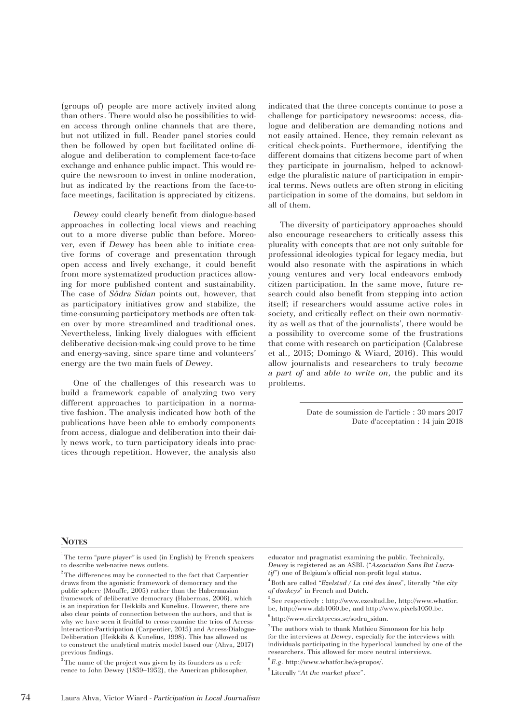(groups of) people are more actively invited along than others. There would also be possibilities to widen access through online channels that are there, but not utilized in full. Reader panel stories could then be followed by open but facilitated online dialogue and deliberation to complement face-to-face exchange and enhance public impact. This would require the newsroom to invest in online moderation, but as indicated by the reactions from the face-toface meetings, facilitation is appreciated by citizens*.* 

*Dewey* could clearly benefit from dialogue-based approaches in collecting local views and reaching out to a more diverse public than before. Moreover, even if *Dewey* has been able to initiate creative forms of coverage and presentation through open access and lively exchange, it could benefit from more systematized production practices allowing for more published content and sustainability. The case of *Södra Sidan* points out, however, that as participatory initiatives grow and stabilize, the time-consuming participatory methods are often taken over by more streamlined and traditional ones. Nevertheless, linking lively dialogues with efficient deliberative decision-mak¬ing could prove to be time and energy-saving, since spare time and volunteers' energy are the two main fuels of *Dewey*.

One of the challenges of this research was to build a framework capable of analyzing two very different approaches to participation in a normative fashion. The analysis indicated how both of the publications have been able to embody components from access, dialogue and deliberation into their daily news work, to turn participatory ideals into practices through repetition. However, the analysis also indicated that the three concepts continue to pose a challenge for participatory newsrooms: access, dialogue and deliberation are demanding notions and not easily attained. Hence, they remain relevant as critical check-points. Furthermore, identifying the different domains that citizens become part of when they participate in journalism, helped to acknowledge the pluralistic nature of participation in empirical terms. News outlets are often strong in eliciting participation in some of the domains, but seldom in all of them.

The diversity of participatory approaches should also encourage researchers to critically assess this plurality with concepts that are not only suitable for professional ideologies typical for legacy media, but would also resonate with the aspirations in which young ventures and very local endeavors embody citizen participation. In the same move, future research could also benefit from stepping into action itself; if researchers would assume active roles in society, and critically reflect on their own normativity as well as that of the journalists', there would be a possibility to overcome some of the frustrations that come with research on participation (Calabrese et al., 2015; Domingo & Wiard, 2016). This would allow journalists and researchers to truly *become a part of* and *able to write on*, the public and its problems.

> Date de soumission de l'article : 30 mars 2017 Date d'acceptation : 14 juin 2018

# **NOTES**

<sup>1</sup> The term "pure player" is used (in English) by French speakers to describe web-native news outlets.

<sup>3</sup>The name of the project was given by its founders as a reference to John Dewey (1859–1952), the American philosopher, educator and pragmatist examining the public. Technically, *Dewey* is registered as an ASBL ("*Association Sans But Lucra-*

*tif*") one of Belgium's official non-profit legal status. 4 Both are called "*Ezelstad / La cité des ânes*", literally "*the city of donkeys*" in French and Dutch.<br><sup>5</sup> See respectively : http://www.ezesltad.be, http://www.whatfor.

be, http://www.dzb1060.be, and http://www.pixels1050.be.

 $\delta$ http://www.direktpress.se/sodra\_sidan.

<sup>8</sup>*E.g.* http://www.whatfor.be/a-propos/. 9 Literally "*At the market place*".

 $2$ <sup>2</sup> The differences may be connected to the fact that Carpentier draws from the agonistic framework of democracy and the public sphere (Mouffe, 2005) rather than the Habermasian framework of deliberative democracy (Habermas, 2006), which is an inspiration for Heikkilä and Kunelius. However, there are also clear points of connection between the authors, and that is why we have seen it fruitful to cross-examine the trios of Access-Interaction-Participation (Carpentier, 2015) and Access-Dialogue-Deliberation (Heikkilä & Kunelius, 1998). This has allowed us to construct the analytical matrix model based our (Ahva, 2017) previous findings.

<sup>7</sup> The authors wish to thank Mathieu Simonson for his help for the interviews at *Dewey*, especially for the interviews with individuals participating in the hyperlocal launched by one of the researchers. This allowed for more neutral interviews.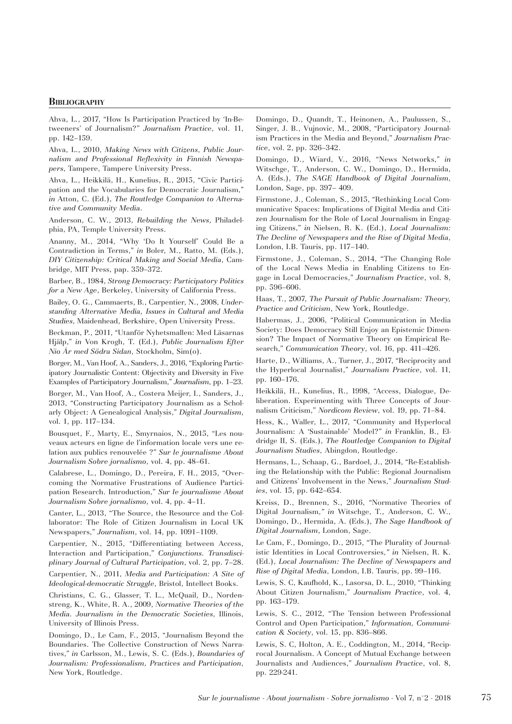# **Bibliography**

Ahva, L., 2017, "How Is Participation Practiced by 'In-Betweeners' of Journalism?" *Journalism Practice*, vol. 11, pp. 142–159.

Ahva, L., 2010, *Making News with Citizens, Public Journalism and Professional Reflexivity in Finnish Newspapers*, Tampere, Tampere University Press.

Ahva, L., Heikkilä, H., Kunelius, R., 2015, "Civic Participation and the Vocabularies for Democratic Journalism," *in* Atton, C. (Ed.), *The Routledge Companion to Alternative and Community Media*.

Anderson, C. W., 2013, *Rebuilding the News*, Philadelphia, PA, Temple University Press.

Ananny, M., 2014, "Why 'Do It Yourself' Could Be a Contradiction in Terms," *in* Boler, M., Ratto, M. (Eds.), *DIY Citizenship: Critical Making and Social Media*, Cambridge, MIT Press, pap. 359–372.

Barber, B., 1984, *Strong Democracy: Participatory Politics for a New Age*, Berkeley, University of California Press.

Bailey, O. G., Cammaerts, B., Carpentier, N., 2008, *Understanding Alternative Media, Issues in Cultural and Media Studies*, Maidenhead, Berkshire, Open University Press.

Beckman, P., 2011, "Utanför Nyhetsmallen: Med Läsarnas Hjälp," *in* Von Krogh, T. (Ed.), *Public Journalism Efter Nio År med Södra Sidan,* Stockholm, Sim(o).

Borger, M., Van Hoof, A., Sanders, J., 2016, "Exploring Participatory Journalistic Content: Objectivity and Diversity in Five Examples of Participatory Journalism," *Journalism*, pp. 1–23.

Borger, M., Van Hoof, A., Costera Meijer, I., Sanders, J., 2013, "Constructing Participatory Journalism as a Scholarly Object: A Genealogical Analysis," *Digital Journalism*, vol. 1, pp. 117–134.

Bousquet, F., Marty, E., Smyrnaios, N., 2015, "Les nouveaux acteurs en ligne de l'information locale vers une relation aux publics renouvelée ?" *Sur le journalisme About Journalism Sobre jornalismo*, vol. 4, pp. 48–61.

Calabrese, L., Domingo, D., Pereira, F. H., 2015, "Overcoming the Normative Frustrations of Audience Participation Research. Introduction," *Sur le journalisme About Journalism Sobre jornalismo*, vol. 4, pp. 4–11.

Canter, L., 2013, "The Source, the Resource and the Collaborator: The Role of Citizen Journalism in Local UK Newspapers," *Journalism*, vol. 14, pp. 1091–1109.

Carpentier, N., 2015, "Differentiating between Access, Interaction and Participation," *Conjunctions. Transdisciplinary Journal of Cultural Participation*, vol. 2, pp. 7–28.

Carpentier, N., 2011, *Media and Participation: A Site of Ideological-democratic Struggle*, Bristol, Intellect Books.

Christians, C. G., Glasser, T. L., McQuail, D., Nordenstreng, K., White, R. A., 2009, *Normative Theories of the Media. Journalism in the Democratic Societies*, Illinois, University of Illinois Press.

Domingo, D., Le Cam, F., 2015, "Journalism Beyond the Boundaries. The Collective Construction of News Narratives," *in* Carlsson, M., Lewis, S. C. (Eds.), *Boundaries of Journalism: Professionalism, Practices and Participation*, New York, Routledge.

Domingo, D., Quandt, T., Heinonen, A., Paulussen, S., Singer, J. B., Vujnovic, M., 2008, "Participatory Journalism Practices in the Media and Beyond," *Journalism Practice*, vol. 2, pp. 326–342.

Domingo, D., Wiard, V., 2016, "News Networks," *in* Witschge, T., Anderson, C. W., Domingo, D., Hermida, A. (Eds.), *The SAGE Handbook of Digital Journalism*, London, Sage, pp. 397– 409.

Firmstone, J., Coleman, S., 2015, "Rethinking Local Communicative Spaces: Implications of Digital Media and Citizen Journalism for the Role of Local Journalism in Engaging Citizens," *in* Nielsen, R. K. (Ed.), *Local Journalism: The Decline of Newspapers and the Rise of Digital Media*, London, I.B. Tauris, pp. 117–140.

Firmstone, J., Coleman, S., 2014, "The Changing Role of the Local News Media in Enabling Citizens to Engage in Local Democracies," *Journalism Practice*, vol. 8, pp. 596–606.

Haas, T., 2007, *The Pursuit of Public Journalism: Theory, Practice and Criticism*, New York, Routledge.

Habermas, J., 2006, "Political Communication in Media Society: Does Democracy Still Enjoy an Epistemic Dimension? The Impact of Normative Theory on Empirical Research," *Communication Theory*, vol. 16, pp. 411–426.

Harte, D., Williams, A., Turner, J., 2017, "Reciprocity and the Hyperlocal Journalist," *Journalism Practice*, vol. 11, pp. 160–176.

Heikkilä, H., Kunelius, R., 1998, "Access, Dialogue, Deliberation. Experimenting with Three Concepts of Journalism Criticism," *Nordicom Review*, vol. 19, pp. 71–84.

Hess, K., Waller, L., 2017, "Community and Hyperlocal Journalism: A 'Sustainable' Model?" *in* Franklin, B., Eldridge II, S. (Eds.), *The Routledge Companion to Digital Journalism Studies*, Abingdon, Routledge.

Hermans, L., Schaap, G., Bardoel, J., 2014, "Re-Establishing the Relationship with the Public: Regional Journalism and Citizens' Involvement in the News," *Journalism Studies*, vol. 15, pp. 642–654.

Kreiss, D., Brennen, S., 2016, "Normative Theories of Digital Journalism*," in* Witschge, T., Anderson, C. W., Domingo, D., Hermida, A. (Eds.), *The Sage Handbook of Digital Journalism*, London, Sage.

Le Cam, F., Domingo, D., 2015, "The Plurality of Journalistic Identities in Local Controversies*," in* Nielsen, R. K. (Ed.), *Local Journalism: The Decline of Newspapers and Rise of Digital Media*, London, I.B. Tauris, pp. 99–116.

Lewis, S. C, Kaufhold, K., Lasorsa, D. L., 2010, "Thinking About Citizen Journalism," *Journalism Practice*, vol. 4, pp. 163–179.

Lewis, S. C., 2012, "The Tension between Professional Control and Open Participation," *Information, Communication & Society*, vol. 15, pp. 836–866.

Lewis, S. C, Holton, A. E., Coddington, M., 2014, "Reciprocal Journalism. A Concept of Mutual Exchange between Journalists and Audiences," *Journalism Practice*, vol. 8, pp. 229-241.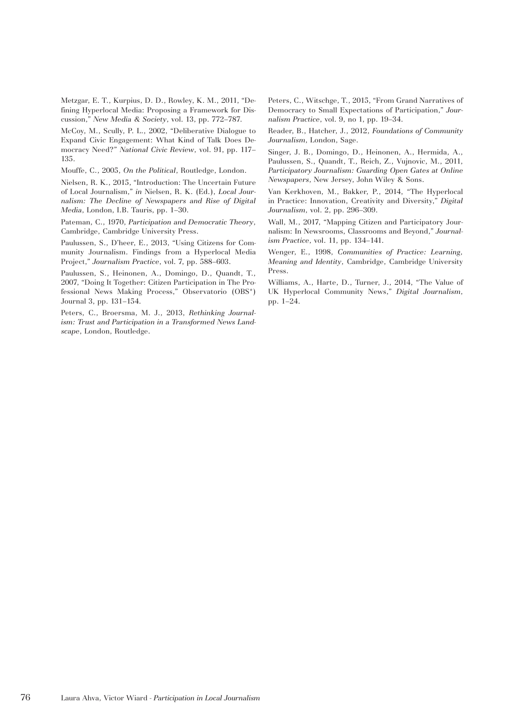Metzgar, E. T., Kurpius, D. D., Rowley, K. M., 2011, "Defining Hyperlocal Media: Proposing a Framework for Discussion," *New Media & Society*, vol. 13, pp. 772–787.

McCoy, M., Scully, P. L., 2002, "Deliberative Dialogue to Expand Civic Engagement: What Kind of Talk Does Democracy Need?" *National Civic Review*, vol. 91, pp. 117– 135.

Mouffe, C., 2005, *On the Political*, Routledge, London.

Nielsen, R. K., 2015, "Introduction: The Uncertain Future of Local Journalism," *in* Nielsen, R. K. (Ed.), *Local Journalism: The Decline of Newspapers and Rise of Digital Media*, London, I.B. Tauris, pp. 1–30.

Pateman, C., 1970, *Participation and Democratic Theory*, Cambridge, Cambridge University Press.

Paulussen, S., D'heer, E., 2013, "Using Citizens for Community Journalism. Findings from a Hyperlocal Media Project," *Journalism Practice*, vol. 7, pp. 588–603.

Paulussen, S., Heinonen, A., Domingo, D., Quandt, T., 2007, "Doing It Together: Citizen Participation in The Professional News Making Process," Observatorio (OBS\*) Journal 3, pp. 131–154.

Peters, C., Broersma, M. J., 2013, *Rethinking Journalism: Trust and Participation in a Transformed News Landscape*, London, Routledge.

Peters, C., Witschge, T., 2015, "From Grand Narratives of Democracy to Small Expectations of Participation," *Journalism Practice*, vol. 9, no 1, pp. 19–34.

Reader, B., Hatcher, J., 2012, *Foundations of Community Journalism*, London, Sage.

Singer, J. B., Domingo, D., Heinonen, A., Hermida, A., Paulussen, S., Quandt, T., Reich, Z., Vujnovic, M., 2011, *Participatory Journalism: Guarding Open Gates at Online Newspapers*, New Jersey, John Wiley & Sons.

Van Kerkhoven, M., Bakker, P., 2014, "The Hyperlocal in Practice: Innovation, Creativity and Diversity," *Digital Journalism*, vol. 2, pp. 296–309.

Wall, M., 2017, "Mapping Citizen and Participatory Journalism: In Newsrooms, Classrooms and Beyond," *Journalism Practice*, vol. 11, pp. 134–141.

Wenger, E., 1998, *Communities of Practice: Learning, Meaning and Identity*, Cambridge, Cambridge University Press.

Williams, A., Harte, D., Turner, J., 2014, "The Value of UK Hyperlocal Community News," *Digital Journalism*, pp. 1–24.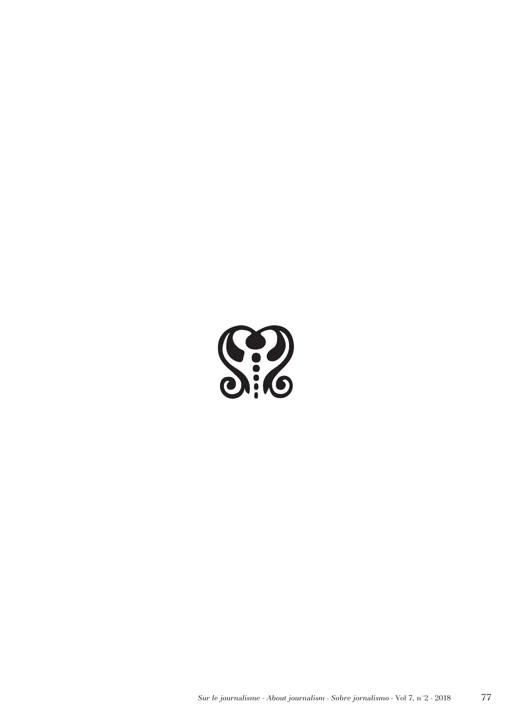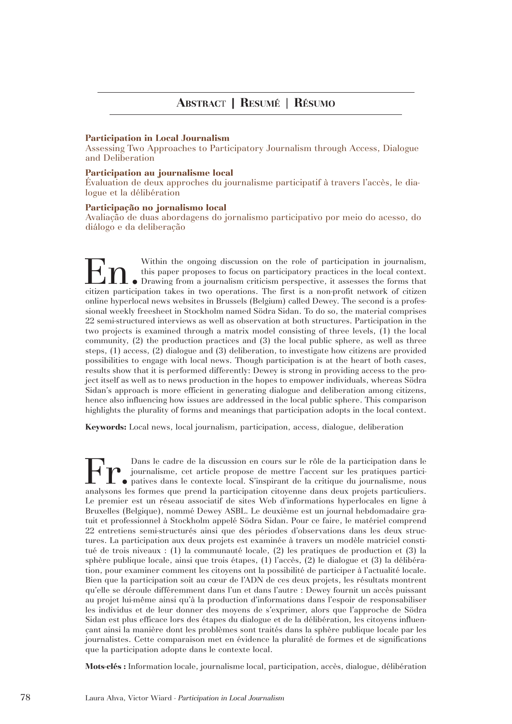# **Abstrac**t **| Resumé** | **Résumo**

# **Participation in Local Journalism**

Assessing Two Approaches to Participatory Journalism through Access, Dialogue and Deliberation

# **Participation au journalisme local**

Évaluation de deux approches du journalisme participatif à travers l'accès, le dialogue et la délibération

#### **Participação no jornalismo local**

Avaliação de duas abordagens do jornalismo participativo por meio do acesso, do diálogo e da deliberação

Within the ongoing discussion on the role of participation in journalism,<br>this paper proposes to focus on participatory practices in the local context.<br>Citizen participation takes in two operations. The first is a non-prof this paper proposes to focus on participatory practices in the local context. citizen participation takes in two operations. The first is a non-profit network of citizen online hyperlocal news websites in Brussels (Belgium) called Dewey. The second is a professional weekly freesheet in Stockholm named Södra Sidan. To do so, the material comprises 22 semi-structured interviews as well as observation at both structures. Participation in the two projects is examined through a matrix model consisting of three levels, (1) the local community, (2) the production practices and (3) the local public sphere, as well as three steps, (1) access, (2) dialogue and (3) deliberation, to investigate how citizens are provided possibilities to engage with local news. Though participation is at the heart of both cases, results show that it is performed differently: Dewey is strong in providing access to the project itself as well as to news production in the hopes to empower individuals, whereas Södra Sidan's approach is more efficient in generating dialogue and deliberation among citizens, hence also influencing how issues are addressed in the local public sphere. This comparison highlights the plurality of forms and meanings that participation adopts in the local context.

**Keywords:** Local news, local journalism, participation, access, dialogue, deliberation

Dans le cadre de la discussion en cours sur le rôle de la participation dans le journalisme, cet article propose de mettre l'accent sur les pratiques participation en participation de la critique du journalisme, nous analy journalisme, cet article propose de mettre l'accent sur les pratiques particianalysons les formes que prend la participation citoyenne dans deux projets particuliers. Le premier est un réseau associatif de sites Web d'informations hyperlocales en ligne à Bruxelles (Belgique), nommé Dewey ASBL. Le deuxième est un journal hebdomadaire gratuit et professionnel à Stockholm appelé Södra Sidan. Pour ce faire, le matériel comprend 22 entretiens semi-structurés ainsi que des périodes d'observations dans les deux structures. La participation aux deux projets est examinée à travers un modèle matriciel constitué de trois niveaux : (1) la communauté locale, (2) les pratiques de production et (3) la sphère publique locale, ainsi que trois étapes, (1) l'accès, (2) le dialogue et (3) la délibération, pour examiner comment les citoyens ont la possibilité de participer à l'actualité locale. Bien que la participation soit au cœur de l'ADN de ces deux projets, les résultats montrent qu'elle se déroule différemment dans l'un et dans l'autre : Dewey fournit un accès puissant au projet lui-même ainsi qu'à la production d'informations dans l'espoir de responsabiliser les individus et de leur donner des moyens de s'exprimer, alors que l'approche de Södra Sidan est plus efficace lors des étapes du dialogue et de la délibération, les citoyens influençant ainsi la manière dont les problèmes sont traités dans la sphère publique locale par les journalistes. Cette comparaison met en évidence la pluralité de formes et de significations que la participation adopte dans le contexte local.

**Mots-clés :** Information locale, journalisme local, participation, accès, dialogue, délibération